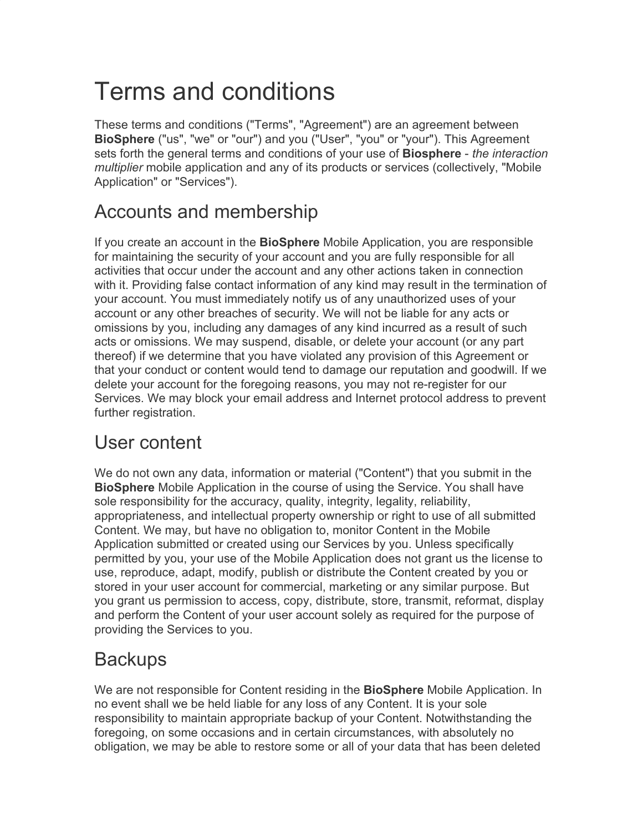# Terms and conditions

These terms and conditions ("Terms", "Agreement") are an agreement between **BioSphere** ("us", "we" or "our") and you ("User", "you" or "your"). This Agreement sets forth the general terms and conditions of your use of **Biosphere** - *the interaction multiplier* mobile application and any of its products or services (collectively, "Mobile Application" or "Services").

#### Accounts and membership

If you create an account in the **BioSphere** Mobile Application, you are responsible for maintaining the security of your account and you are fully responsible for all activities that occur under the account and any other actions taken in connection with it. Providing false contact information of any kind may result in the termination of your account. You must immediately notify us of any unauthorized uses of your account or any other breaches of security. We will not be liable for any acts or omissions by you, including any damages of any kind incurred as a result of such acts or omissions. We may suspend, disable, or delete your account (or any part thereof) if we determine that you have violated any provision of this Agreement or that your conduct or content would tend to damage our reputation and goodwill. If we delete your account for the foregoing reasons, you may not re-register for our Services. We may block your email address and Internet protocol address to prevent further registration.

#### User content

We do not own any data, information or material ("Content") that you submit in the **BioSphere** Mobile Application in the course of using the Service. You shall have sole responsibility for the accuracy, quality, integrity, legality, reliability, appropriateness, and intellectual property ownership or right to use of all submitted Content. We may, but have no obligation to, monitor Content in the Mobile Application submitted or created using our Services by you. Unless specifically permitted by you, your use of the Mobile Application does not grant us the license to use, reproduce, adapt, modify, publish or distribute the Content created by you or stored in your user account for commercial, marketing or any similar purpose. But you grant us permission to access, copy, distribute, store, transmit, reformat, display and perform the Content of your user account solely as required for the purpose of providing the Services to you.

#### **Backups**

We are not responsible for Content residing in the **BioSphere** Mobile Application. In no event shall we be held liable for any loss of any Content. It is your sole responsibility to maintain appropriate backup of your Content. Notwithstanding the foregoing, on some occasions and in certain circumstances, with absolutely no obligation, we may be able to restore some or all of your data that has been deleted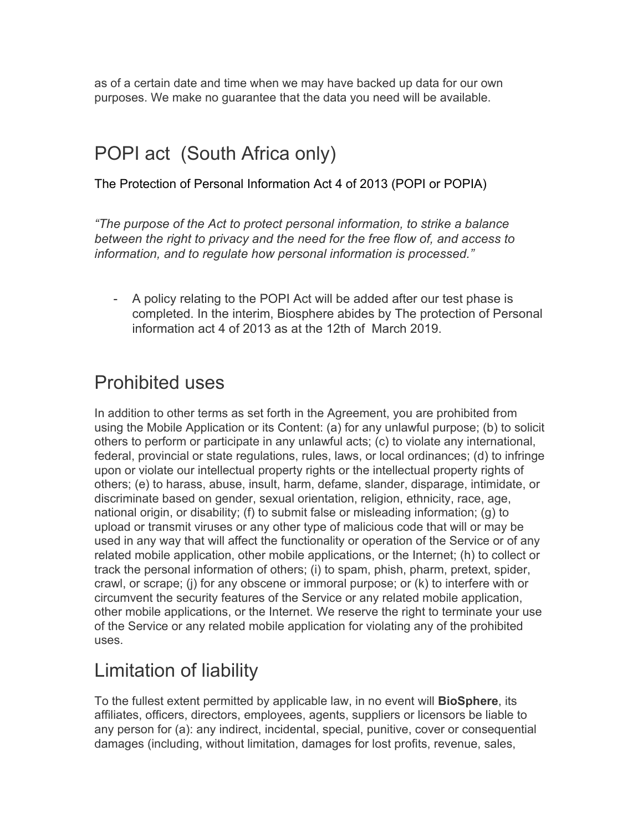as of a certain date and time when we may have backed up data for our own purposes. We make no guarantee that the data you need will be available.

## POPI act (South Africa only)

The Protection of Personal Information Act 4 of 2013 (POPI or POPIA)

*"The purpose of the Act to protect personal information, to strike a balance between the right to privacy and the need for the free flow of, and access to information, and to regulate how personal information is processed."*

- A policy relating to the POPI Act will be added after our test phase is completed. In the interim, Biosphere abides by The protection of Personal information act 4 of 2013 as at the 12th of March 2019.

## Prohibited uses

In addition to other terms as set forth in the Agreement, you are prohibited from using the Mobile Application or its Content: (a) for any unlawful purpose; (b) to solicit others to perform or participate in any unlawful acts; (c) to violate any international, federal, provincial or state regulations, rules, laws, or local ordinances; (d) to infringe upon or violate our intellectual property rights or the intellectual property rights of others; (e) to harass, abuse, insult, harm, defame, slander, disparage, intimidate, or discriminate based on gender, sexual orientation, religion, ethnicity, race, age, national origin, or disability; (f) to submit false or misleading information; (g) to upload or transmit viruses or any other type of malicious code that will or may be used in any way that will affect the functionality or operation of the Service or of any related mobile application, other mobile applications, or the Internet; (h) to collect or track the personal information of others; (i) to spam, phish, pharm, pretext, spider, crawl, or scrape; (j) for any obscene or immoral purpose; or (k) to interfere with or circumvent the security features of the Service or any related mobile application, other mobile applications, or the Internet. We reserve the right to terminate your use of the Service or any related mobile application for violating any of the prohibited uses.

# Limitation of liability

To the fullest extent permitted by applicable law, in no event will **BioSphere**, its affiliates, officers, directors, employees, agents, suppliers or licensors be liable to any person for (a): any indirect, incidental, special, punitive, cover or consequential damages (including, without limitation, damages for lost profits, revenue, sales,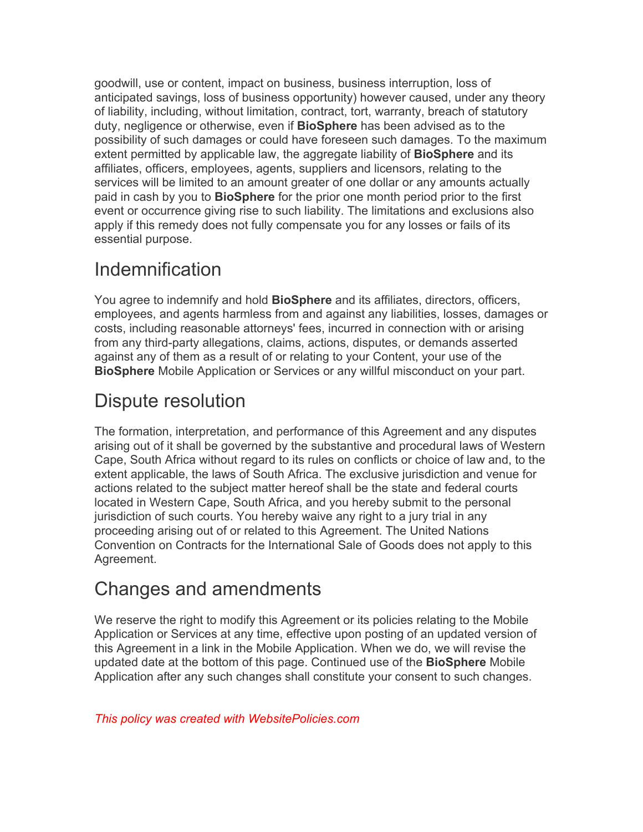goodwill, use or content, impact on business, business interruption, loss of anticipated savings, loss of business opportunity) however caused, under any theory of liability, including, without limitation, contract, tort, warranty, breach of statutory duty, negligence or otherwise, even if **BioSphere** has been advised as to the possibility of such damages or could have foreseen such damages. To the maximum extent permitted by applicable law, the aggregate liability of **BioSphere** and its affiliates, officers, employees, agents, suppliers and licensors, relating to the services will be limited to an amount greater of one dollar or any amounts actually paid in cash by you to **BioSphere** for the prior one month period prior to the first event or occurrence giving rise to such liability. The limitations and exclusions also apply if this remedy does not fully compensate you for any losses or fails of its essential purpose.

# Indemnification

You agree to indemnify and hold **BioSphere** and its affiliates, directors, officers, employees, and agents harmless from and against any liabilities, losses, damages or costs, including reasonable attorneys' fees, incurred in connection with or arising from any third-party allegations, claims, actions, disputes, or demands asserted against any of them as a result of or relating to your Content, your use of the **BioSphere** Mobile Application or Services or any willful misconduct on your part.

## Dispute resolution

The formation, interpretation, and performance of this Agreement and any disputes arising out of it shall be governed by the substantive and procedural laws of Western Cape, South Africa without regard to its rules on conflicts or choice of law and, to the extent applicable, the laws of South Africa. The exclusive jurisdiction and venue for actions related to the subject matter hereof shall be the state and federal courts located in Western Cape, South Africa, and you hereby submit to the personal jurisdiction of such courts. You hereby waive any right to a jury trial in any proceeding arising out of or related to this Agreement. The United Nations Convention on Contracts for the International Sale of Goods does not apply to this Agreement.

#### Changes and amendments

We reserve the right to modify this Agreement or its policies relating to the Mobile Application or Services at any time, effective upon posting of an updated version of this Agreement in a link in the Mobile Application. When we do, we will revise the updated date at the bottom of this page. Continued use of the **BioSphere** Mobile Application after any such changes shall constitute your consent to such changes.